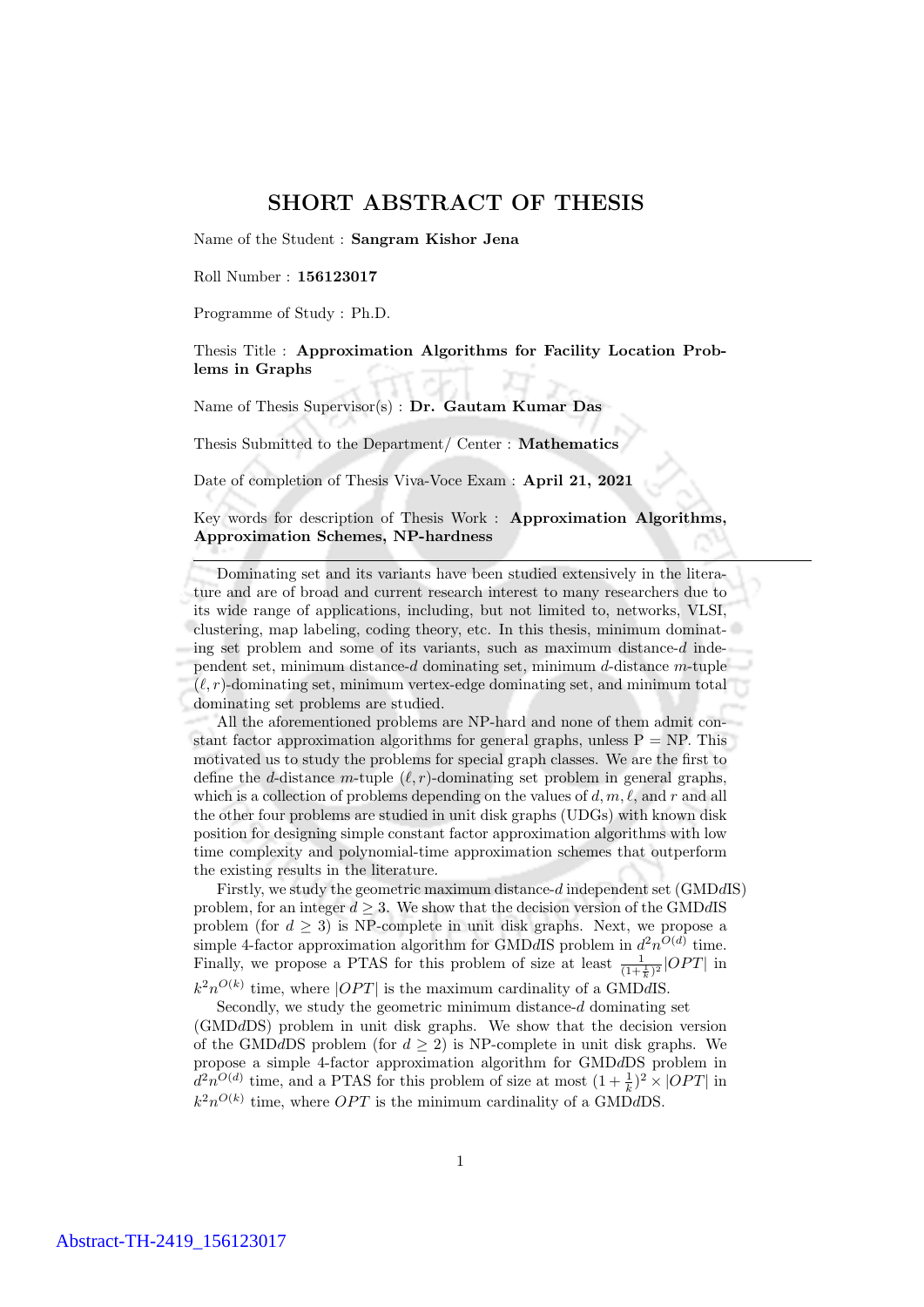## SHORT ABSTRACT OF THESIS

Name of the Student : Sangram Kishor Jena

Roll Number : 156123017

Programme of Study : Ph.D.

Thesis Title : Approximation Algorithms for Facility Location Problems in Graphs

Name of Thesis Supervisor $(s)$ : Dr. Gautam Kumar Das

Thesis Submitted to the Department/ Center : Mathematics

Date of completion of Thesis Viva-Voce Exam : April 21, 2021

Key words for description of Thesis Work : Approximation Algorithms, Approximation Schemes, NP-hardness

Dominating set and its variants have been studied extensively in the literature and are of broad and current research interest to many researchers due to its wide range of applications, including, but not limited to, networks, VLSI, clustering, map labeling, coding theory, etc. In this thesis, minimum dominating set problem and some of its variants, such as maximum distance- $d$  independent set, minimum distance-d dominating set, minimum d-distance  $m$ -tuple  $(\ell, r)$ -dominating set, minimum vertex-edge dominating set, and minimum total dominating set problems are studied.

All the aforementioned problems are NP-hard and none of them admit constant factor approximation algorithms for general graphs, unless  $P = NP$ . This motivated us to study the problems for special graph classes. We are the first to define the *d*-distance *m*-tuple  $(\ell, r)$ -dominating set problem in general graphs, which is a collection of problems depending on the values of d,  $m, \ell$ , and r and all the other four problems are studied in unit disk graphs (UDGs) with known disk position for designing simple constant factor approximation algorithms with low time complexity and polynomial-time approximation schemes that outperform the existing results in the literature.

Firstly, we study the geometric maximum distance-d independent set (GMDdIS) problem, for an integer  $d \geq 3$ . We show that the decision version of the GMDdIS problem (for  $d \geq 3$ ) is NP-complete in unit disk graphs. Next, we propose a simple 4-factor approximation algorithm for GMDdIS problem in  $d^2n^{O(d)}$  time. Finally, we propose a PTAS for this problem of size at least  $\frac{1}{(1+\frac{1}{k})^2}|OPT|$  in

 $k^2n^{O(k)}$  time, where  $|OPT|$  is the maximum cardinality of a GMDdIS.

Secondly, we study the geometric minimum distance- $d$  dominating set (GMDdDS) problem in unit disk graphs. We show that the decision version of the GMDdDS problem (for  $d \geq 2$ ) is NP-complete in unit disk graphs. We propose a simple 4-factor approximation algorithm for GMDdDS problem in  $d^2n^{O(d)}$  time, and a PTAS for this problem of size at most  $(1+\frac{1}{k})^2 \times |OPT|$  in  $k^2n^{O(k)}$  time, where *OPT* is the minimum cardinality of a GMDdDS.